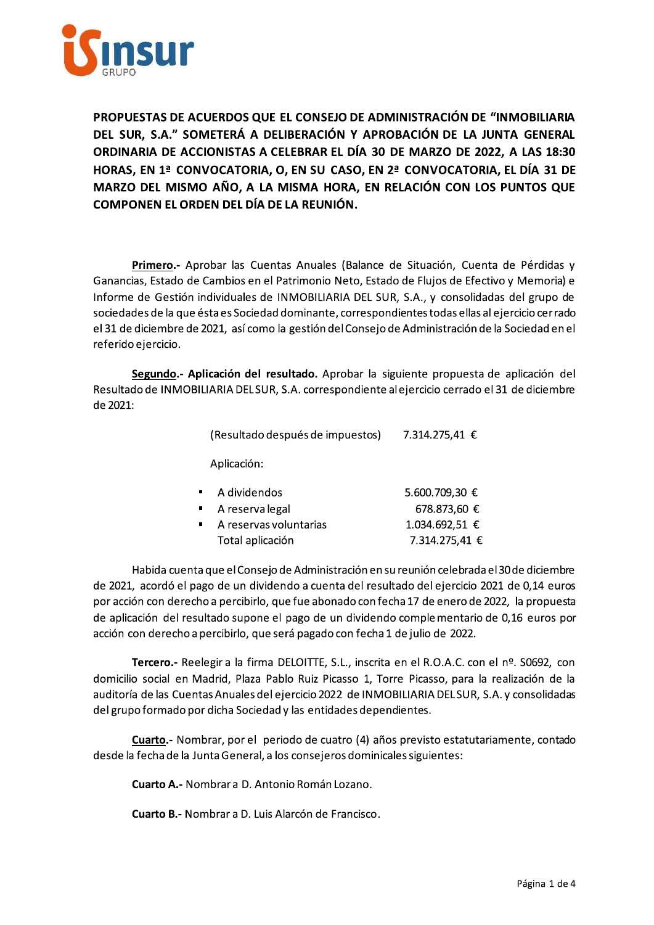

PROPUESTAS DE ACUERDOS QUE EL CONSEJO DE ADMINISTRACIÓN DE "INMOBILIARIA DEL SUR. S.A." SOMETERÁ A DELIBERACIÓN Y APROBACIÓN DE LA JUNTA GENERAL ORDINARIA DE ACCIONISTAS A CELEBRAR EL DÍA 30 DE MARZO DE 2022, A LAS 18:30 HORAS, EN 1ª CONVOCATORIA, O, EN SU CASO, EN 2ª CONVOCATORIA, EL DÍA 31 DE MARZO DEL MISMO AÑO, A LA MISMA HORA, EN RELACIÓN CON LOS PUNTOS QUE COMPONEN EL ORDEN DEL DÍA DE LA REUNIÓN.

Primero.- Aprobar las Cuentas Anuales (Balance de Situación, Cuenta de Pérdidas y Ganancias, Estado de Cambios en el Patrimonio Neto, Estado de Flujos de Efectivo y Memoria) e Informe de Gestión individuales de INMOBILIARIA DEL SUR, S.A., y consolidadas del grupo de sociedades de la que ésta es Sociedad dominante, correspondientes todas ellas al ejercicio cerrado el 31 de diciembre de 2021, así como la gestión del Consejo de Administración de la Sociedad en el referido ejercicio.

Segundo.- Aplicación del resultado. Aprobar la siguiente propuesta de aplicación del Resultado de INMOBILIARIA DEL SUR, S.A. correspondiente al ejercicio cerrado el 31 de diciembre de 2021:

| (Resultado después de impuestos) | 7.314.275,41 € |
|----------------------------------|----------------|
| Aplicación:                      |                |
| A dividendos                     | 5.600.709,30 € |
| A reserva legal                  | 678.873,60 €   |
| A reservas voluntarias           | 1.034.692,51 € |
| Total aplicación                 | 7.314.275,41 € |

Habida cuenta que el Consejo de Administración en su reunión celebrada el 30 de diciembre de 2021, acordó el pago de un dividendo a cuenta del resultado del ejercicio 2021 de 0,14 euros por acción con derecho a percibirlo, que fue abonado con fecha 17 de enero de 2022, la propuesta de aplicación del resultado supone el pago de un dividendo complementario de 0,16 euros por acción con derecho a percibirlo, que será pagado con fecha 1 de julio de 2022.

Tercero.- Reelegir a la firma DELOITTE, S.L., inscrita en el R.O.A.C. con el nº. S0692, con domicilio social en Madrid, Plaza Pablo Ruiz Picasso 1, Torre Picasso, para la realización de la auditoría de las Cuentas Anuales del ejercicio 2022 de INMOBILIARIA DEL SUR, S.A. y consolidadas del grupo formado por dicha Sociedad y las entidades dependientes.

Cuarto.- Nombrar, por el periodo de cuatro (4) años previsto estatutariamente, contado desde la fecha de la Junta General, a los consejeros dominicales siguientes:

**Cuarto A.- Nombrar a D. Antonio Román Lozano.** 

**Cuarto B.- Nombrar a D. Luis Alarcón de Francisco.**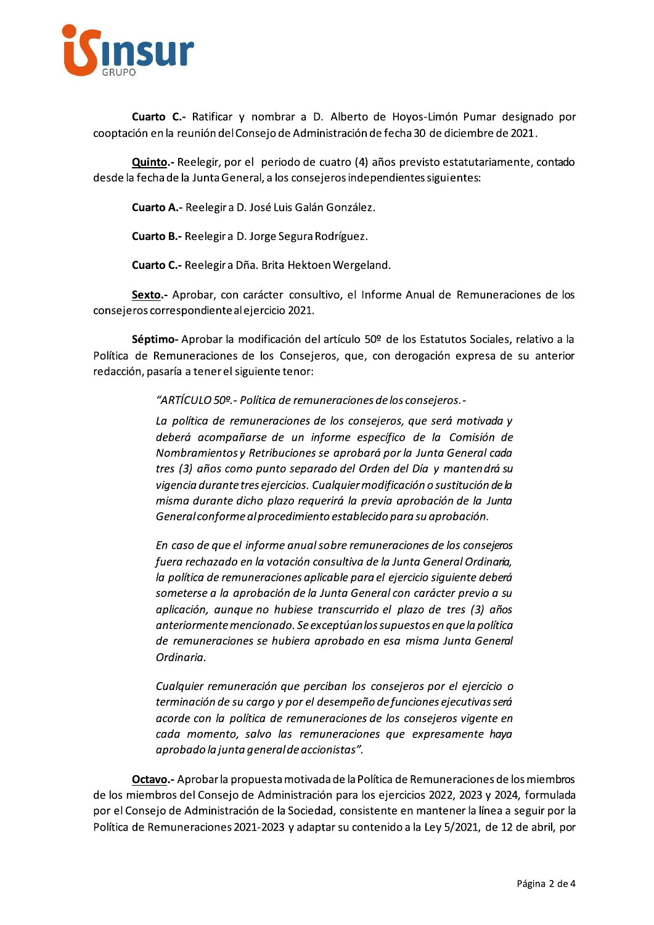

Cuarto C.- Ratificar y nombrar a D. Alberto de Hovos-Limón Pumar designado por cooptación en la reunión del Consejo de Administración de fecha 30 de diciembre de 2021.

Quinto.- Reelegir, por el periodo de cuatro (4) años previsto estatutariamente, contado desde la fecha de la Junta General, a los consejeros independientes siguientes:

Cuarto A.- Reelegir a D. José Luis Galán González.

Cuarto B.- Reelegir a D. Jorge Segura Rodríguez.

Cuarto C.- Reelegir a Dña. Brita Hektoen Wergeland.

Sexto.- Aprobar, con carácter consultivo, el Informe Anual de Remuneraciones de los consejeros correspondiente al ejercicio 2021.

Séptimo-Aprobar la modificación del artículo 50º de los Estatutos Sociales, relativo a la Política de Remuneraciones de los Consejeros, que, con derogación expresa de su anterior redacción, pasaría a tener el siguiente tenor:

"ARTÍCULO 50º. - Política de remuneraciones de los consejeros. -

La política de remuneraciones de los consejeros, que será motivada y deberá acompañarse de un informe específico de la Comisión de Nombramientos y Retribuciones se aprobará por la Junta General cada tres (3) años como punto separado del Orden del Día y mantendrá su vigencia durante tres ejercicios. Cualquier modificación o sustitución de la misma durante dicho plazo requerirá la previa aprobación de la Junta General conforme al procedimiento establecido para su aprobación.

En caso de que el informe anual sobre remuneraciones de los consejeros fuera rechazado en la votación consultiva de la Junta General Ordinaria, la política de remuneraciones aplicable para el ejercicio siguiente deberá someterse a la aprobación de la Junta General con carácter previo a su aplicación, aunque no hubiese transcurrido el plazo de tres (3) años anteriormente mencionado. Se exceptúan los supuestos en que la política de remuneraciones se hubiera aprobado en esa misma Junta General Ordinaria.

Cualquier remuneración que perciban los consejeros por el ejercicio o terminación de su cargo y por el desempeño de funciones ejecutivas será acorde con la política de remuneraciones de los consejeros vigente en cada momento, salvo las remuneraciones que expresamente haya aprobado la junta general de accionistas".

Octavo.- Aprobar la propuesta motivada de la Política de Remuneraciones de los miembros de los miembros del Consejo de Administración para los ejercicios 2022, 2023 y 2024, formulada por el Consejo de Administración de la Sociedad, consistente en mantener la línea a seguir por la Política de Remuneraciones 2021-2023 y adaptar su contenido a la Ley 5/2021, de 12 de abril, por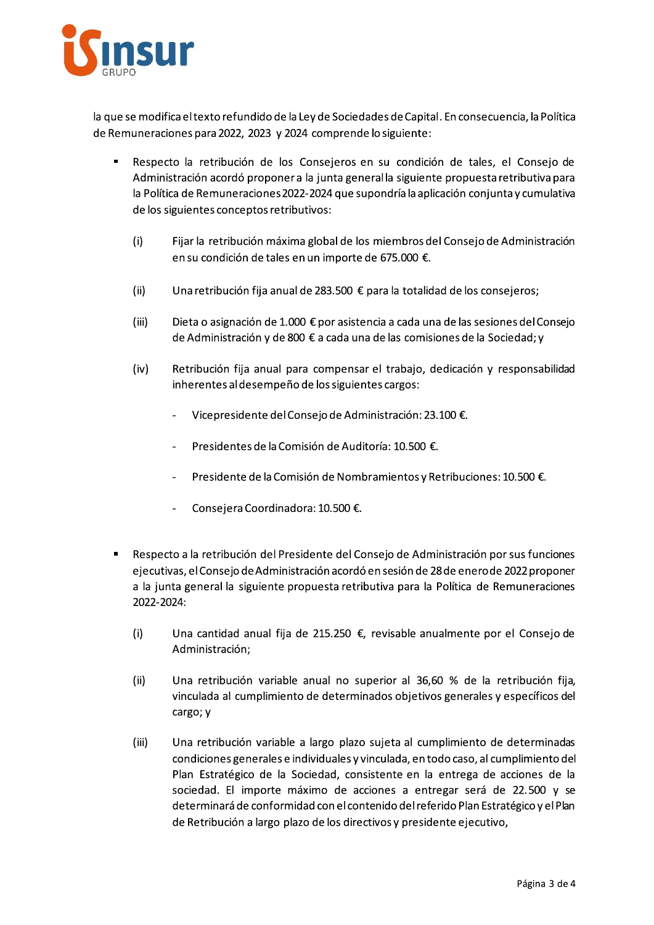

la que se modifica el texto refundido de la Ley de Sociedades de Capital. En consecuencia, la Política de Remuneraciones para 2022, 2023 y 2024 comprende lo siguiente:

- $\blacksquare$  Respecto la retribución de los Consejeros en su condición de tales, el Consejo xto refundido de la Ley de Sociedades de Capital. Er<br>
ra 2022, 2023 y 2024 comprende lo siguiente:<br>
etribución de los Consejeros en su condición c<br>
acordó proponera la junta general la siguiente pr<br>
emuneraciones 2022-20 ital. En consecuencia, la Política<br>
e:<br>
ción de tales, el Consejo de<br>
nte propuesta retributiva para<br>
plicación conjunta y cumulativa<br>
del Consejo de Administración<br>
ε.<br>
didad de los especiences Administración acordo proponer a la junta general la siguiente propuesta retributiva para texto refundido de la Ley de Sociedades de Capital<br>para 2022, 2023 y 2024 comprende lo siguiente:<br>retribución de los Consejeros en su condició<br>ión acordó proponera la junta general la siguiente<br>Remuneraciones 2022-2024 qu la Política de Remuneraciones 2022-2024 que s edades de Capital. En consecuencia, la Política<br>
s en su condición de tales, el Consejo de<br>
eneral la siguiente propuesta retributiva para<br>
supondría la aplicación conjunta y cumulativa<br>
los miembros del Consejo de Admini de los siguientes conceptos retributivos: de Remuneraciones para 2022, 2023 y 2024<br>
• Respecto la retribución de los C<br>
Administración acordó proponera<br>
la Política de Remuneraciones 2022<br>
de los siguientes conceptos retribución<br>
(i) Fijar la retribución máxima<br>
e nde lo siguiente:<br>
s en su condición de tales, el Consejo de<br>
eneralla siguiente propuesta retributiva para<br>
e supondría la aplicación conjunta y cumulativa<br>
e los miembros del Consejo de Administración<br>
te de 675.000 €.<br>
	- tribución maxima global de los miembros del Consejo de Administración en su condición de tales en un importe de 675.000 €.
	- (ii) Una retribución fija anual de 283.500  $\epsilon$  para la totalidad de los consejeros;
	- (iii) Dieta o asignación de 1.000  $\epsilon$  por asistencia a cada una de las sesiones del Consejo de Administración y de 800 € a cada una de las comisiones de la Sociedad; y i en un importe de 675.000 €.<br>al de 283.500 € para la totalidad de los consejeros<br>000 € por asistencia a cada una de las sesiones del<br>800 € a cada una de las comisiones de la Sociedad;<br>para compensar el trabajo, dedicació
	- (iv) Retribución fija anual para compensar el trabajo, dedicación y responsabilidad en su condición de tales en un importe<br>
	(ii) Una retribución fija anual de 283.500 €<br>
	(iii) Dieta o asignación de 1.000 € por asiste<br>
	de Administración y de 800 € a cada un<br>
	(iv) Retribución fija anual para compensa<br>
	inh inherentes al desempeno de los siguientes cargos:
		- Vicepresidente del Consejo de Administración: 23.100 €.
		- Presidentes de la Comisión de Auditoría: 10.500 €.
		- Presidente de la Comisión de Nombramientos y Retribuciones: 10.500 €.
		- Consejera Coordinadora: 10.500 €.
- $\blacksquare$  Respecto a la retribución del Presidente del Consejo de Administración por sus funciones e la Comisión de Auditoría: 10.500 €.<br>
la Comisión de Nombramientos y Retribuciones: 1<br>
ordinadora: 10.500 €.<br>
del Presidente del Consejo de Administración por<br>
dministración acordó en sesión de 28 de enero de 2<br>
ente pr ejecutivas, el Consejo de Administración acordo en sesión de 28 de enero de 2022 proponer - Presidente de<br>
- Consejera Coc<br>
- Respecto a la retribución (<br>
ejecutivas, el Consejo de A<br>
a la junta general la sigui<br>
2022-2024:<br>
(i) Una cantidad anu<br>
Administración;<br>
(ii) Una retribución (ii) Una retribución (ii) u - Presidente de la Comisión de Norte<br>
- Consejera Coordinadora: 10.500<br>
- Respecto a la retribución del Presidente del<br>
ejecutivas, el Consejo de Administración acor<br>
- a la junta general la siguiente propuesta re<br>
2022-2 - Presidente de la C<br>
- Consejera Coordi<br>
- Respecto a la retribución del<br>
ejecutivas, el Consejo de Adm<br>
a la junta general la siguient<br>
2022-2024:<br>
(i) Una cantidad anual 1<br>
Administración;<br>
(ii) Una retribución varii<br>
v neral la siguiente propuesta retributiva para la Politica de Remuneraciones 2022-2024:
	- (i) Una cantidad anual fija de 215.250  $\epsilon$ , revisable anualmente por el Consejo de Administración;
	- (ii) Una retribución variable anual no superior al 36,60 % de la ret vinculada al cumplimiento de determinados objetivos generales y específicos del cargo; y
	- 8 de enero de 2022 proponer<br>Política de Remuneraciones<br>Almente por el Consejo de<br>De la retribución fija,<br>senerales y específicos del<br>plimiento de determinadas<br>do caso, al cumplimiento del<br>entrega de acciones de la<br>gar será propuesta retributiva para la Política de Remunia<br>
	ia de 215.250 €, revisable anualmente por el Co<br>
	ble anual no superior al 36,60 % de la retribu<br>
	ento de determinados objetivos generales y espected<br>
	ento de determinados (III) — Una retribución variable a largo plazó sujeta al cumplimiento de determinadas ual fija de 215.250  $\epsilon$ , revisable anualmente por<br>variable anual no superior al 36,60 % de la re<br>plimiento de determinados objetivos generales y<br>variable a largo plazo sujeta al cumplimiento de<br>ralese individuales y vinc condiciones generales e individuales y vinculada, en todo caso, al cumplimiento del Plan Estrategico de la Sociedad, consistente en la entrega de acciones de la sociedad. El importe maximo de acciones a entregar sera de 22.500 y se determinara de conformidad con el contenido del referido Plan Estrategico y el Plan de Retribución a largo plazó de los directivos y presidente ejecutivo, plazo sujeta al cumplimiento de determinadas<br>es y vinculada, en todo caso, al cumplimiento del<br>consistente en la entrega de acciones de la<br>e acciones a entregar será de 22.500 y se<br>el contenido del referido Plan Estratégic